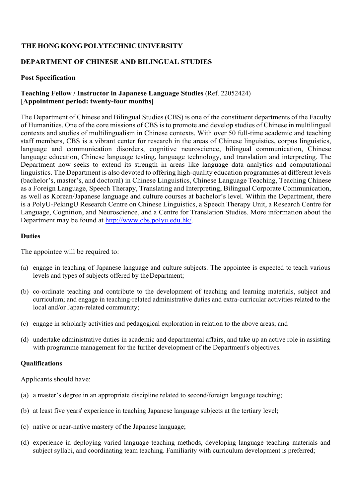# **THE HONG KONG POLYTECHNIC UNIVERSITY**

# **DEPARTMENT OF CHINESE AND BILINGUAL STUDIES**

### **Post Specification**

# **Teaching Fellow / Instructor in Japanese Language Studies** (Ref. 22052424) **[Appointment period: twenty-four months]**

The Department of Chinese and Bilingual Studies (CBS) is one of the constituent departments of the Faculty of Humanities. One of the core missions of CBS is to promote and develop studies of Chinese in multilingual contexts and studies of multilingualism in Chinese contexts. With over 50 full-time academic and teaching staff members, CBS is a vibrant center for research in the areas of Chinese linguistics, corpus linguistics, language and communication disorders, cognitive neuroscience, bilingual communication, Chinese language education, Chinese language testing, language technology, and translation and interpreting. The Department now seeks to extend its strength in areas like language data analytics and computational linguistics. The Department is also devoted to offering high-quality education programmes at different levels (bachelor's, master's, and doctoral) in Chinese Linguistics, Chinese Language Teaching, Teaching Chinese as a Foreign Language, Speech Therapy, Translating and Interpreting, Bilingual Corporate Communication, as well as Korean/Japanese language and culture courses at bachelor's level. Within the Department, there is a PolyU-PekingU Research Centre on Chinese Linguistics, a Speech Therapy Unit, a Research Centre for Language, Cognition, and Neuroscience, and a Centre for Translation Studies. More information about the Department may be found at http://www.cbs.polyu.edu.hk/.

#### **Duties**

The appointee will be required to:

- (a) engage in teaching of Japanese language and culture subjects. The appointee is expected to teach various levels and types of subjects offered by the Department;
- (b) co-ordinate teaching and contribute to the development of teaching and learning materials, subject and curriculum; and engage in teaching-related administrative duties and extra-curricular activities related to the local and/or Japan-related community;
- (c) engage in scholarly activities and pedagogical exploration in relation to the above areas; and
- (d) undertake administrative duties in academic and departmental affairs, and take up an active role in assisting with programme management for the further development of the Department's objectives.

### **Qualifications**

Applicants should have:

- (a) a master's degree in an appropriate discipline related to second/foreign language teaching;
- (b) at least five years' experience in teaching Japanese language subjects at the tertiary level;
- (c) native or near-native mastery of the Japanese language;
- (d) experience in deploying varied language teaching methods, developing language teaching materials and subject syllabi, and coordinating team teaching. Familiarity with curriculum development is preferred;